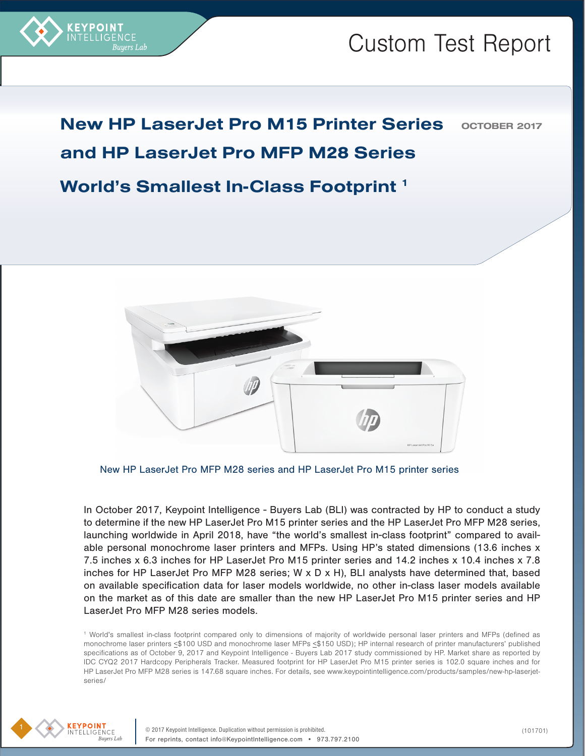

## **OCTOBER 2017** New HP LaserJet Pro M15 Printer Series and HP LaserJet Pro MFP M28 Series World's Smallest In-Class Footprint 1



New HP LaserJet Pro MFP M28 series and HP LaserJet Pro M15 printer series

In October 2017, Keypoint Intelligence - Buyers Lab (BLI) was contracted by HP to conduct a study to determine if the new HP LaserJet Pro M15 printer series and the HP LaserJet Pro MFP M28 series, launching worldwide in April 2018, have "the world's smallest in-class footprint" compared to available personal monochrome laser printers and MFPs. Using HP's stated dimensions (13.6 inches x 7.5 inches x 6.3 inches for HP LaserJet Pro M15 printer series and 14.2 inches x 10.4 inches x 7.8 inches for HP LaserJet Pro MFP M28 series; W x D x H), BLI analysts have determined that, based on available specification data for laser models worldwide, no other in-class laser models available on the market as of this date are smaller than the new HP LaserJet Pro M15 printer series and HP LaserJet Pro MFP M28 series models.

1 World's smallest in-class footprint compared only to dimensions of majority of worldwide personal laser printers and MFPs (defined as monochrome laser printers <\$100 USD and monochrome laser MFPs <\$150 USD); HP internal research of printer manufacturers' published specifications as of October 9, 2017 and Keypoint Intelligence - Buyers Lab 2017 study commissioned by HP. Market share as reported by IDC CYQ2 2017 Hardcopy Peripherals Tracker. Measured footprint for HP LaserJet Pro M15 printer series is 102.0 square inches and for HP LaserJet Pro MFP M28 series is 147.68 square inches. For details, see www.keypointintelligence.com/products/samples/new-hp-laserjetseries/

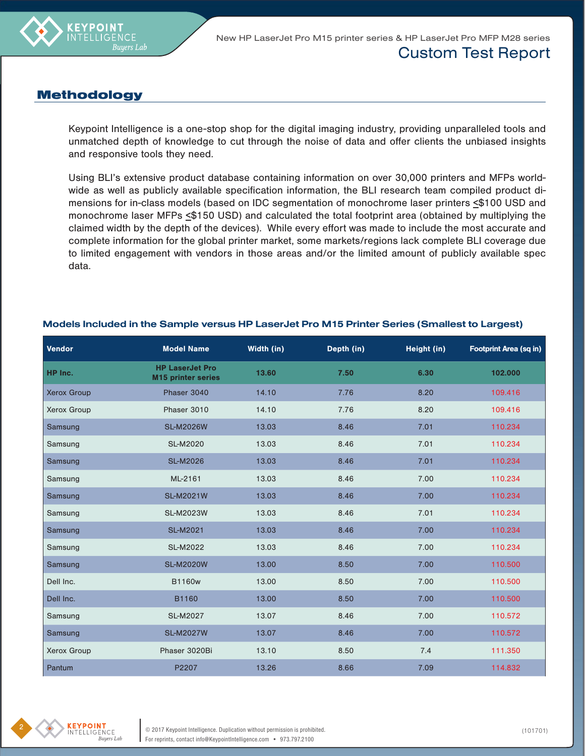

New HP LaserJet Pro M15 printer series & HP LaserJet Pro MFP M28 series

#### Custom Test Report

#### **Methodology**

Keypoint Intelligence is a one-stop shop for the digital imaging industry, providing unparalleled tools and unmatched depth of knowledge to cut through the noise of data and offer clients the unbiased insights and responsive tools they need.

Using BLI's extensive product database containing information on over 30,000 printers and MFPs worldwide as well as publicly available specification information, the BLI research team compiled product dimensions for in-class models (based on IDC segmentation of monochrome laser printers  $\leq$ \$100 USD and monochrome laser MFPs <\$150 USD) and calculated the total footprint area (obtained by multiplying the claimed width by the depth of the devices). While every effort was made to include the most accurate and complete information for the global printer market, some markets/regions lack complete BLI coverage due to limited engagement with vendors in those areas and/or the limited amount of publicly available spec data.

| Vendor             | <b>Model Name</b>                                   | Width (in) | Depth (in) | Height (in) | <b>Footprint Area (sq in)</b> |
|--------------------|-----------------------------------------------------|------------|------------|-------------|-------------------------------|
| HP Inc.            | <b>HP LaserJet Pro</b><br><b>M15 printer series</b> | 13.60      | 7.50       | 6.30        | 102.000                       |
| <b>Xerox Group</b> | Phaser 3040                                         | 14.10      | 7.76       | 8.20        | 109.416                       |
| <b>Xerox Group</b> | Phaser 3010                                         | 14.10      | 7.76       | 8.20        | 109.416                       |
| Samsung            | <b>SL-M2026W</b>                                    | 13.03      | 8.46       | 7.01        | 110.234                       |
| Samsung            | <b>SL-M2020</b>                                     | 13.03      | 8.46       | 7.01        | 110.234                       |
| Samsung            | <b>SL-M2026</b>                                     | 13.03      | 8.46       | 7.01        | 110.234                       |
| Samsung            | ML-2161                                             | 13.03      | 8.46       | 7.00        | 110.234                       |
| Samsung            | <b>SL-M2021W</b>                                    | 13.03      | 8.46       | 7.00        | 110.234                       |
| Samsung            | <b>SL-M2023W</b>                                    | 13.03      | 8.46       | 7.01        | 110.234                       |
| Samsung            | <b>SL-M2021</b>                                     | 13.03      | 8.46       | 7.00        | 110.234                       |
| Samsung            | <b>SL-M2022</b>                                     | 13.03      | 8.46       | 7.00        | 110.234                       |
| Samsung            | <b>SL-M2020W</b>                                    | 13.00      | 8.50       | 7.00        | 110.500                       |
| Dell Inc.          | <b>B1160w</b>                                       | 13.00      | 8.50       | 7.00        | 110.500                       |
| Dell Inc.          | B1160                                               | 13.00      | 8.50       | 7.00        | 110.500                       |
| Samsung            | <b>SL-M2027</b>                                     | 13.07      | 8.46       | 7.00        | 110.572                       |
| Samsung            | <b>SL-M2027W</b>                                    | 13.07      | 8.46       | 7.00        | 110.572                       |
| Xerox Group        | Phaser 3020Bi                                       | 13.10      | 8.50       | 7.4         | 111.350                       |
| Pantum             | P2207                                               | 13.26      | 8.66       | 7.09        | 114.832                       |

#### Models Included in the Sample versus HP LaserJet Pro M15 Printer Series (Smallest to Largest)

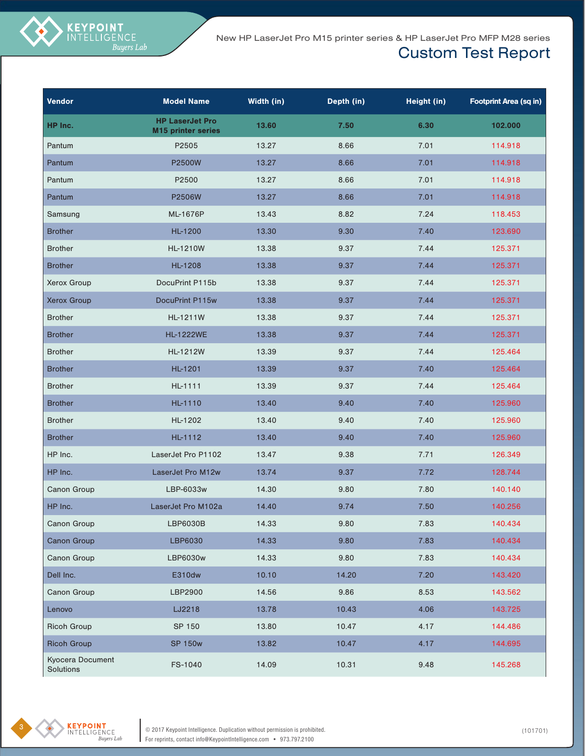New HP LaserJet Pro M15 printer series & HP LaserJet Pro MFP M28 series

### Custom Test Report

| Vendor                        | <b>Model Name</b>                                   | Width (in) | Depth (in) | Height (in) | <b>Footprint Area (sq in)</b> |
|-------------------------------|-----------------------------------------------------|------------|------------|-------------|-------------------------------|
| HP Inc.                       | <b>HP LaserJet Pro</b><br><b>M15 printer series</b> | 13.60      | 7.50       | 6.30        | 102.000                       |
| Pantum                        | P2505                                               | 13.27      | 8.66       | 7.01        | 114.918                       |
| Pantum                        | P2500W                                              | 13.27      | 8.66       | 7.01        | 114.918                       |
| Pantum                        | P2500                                               | 13.27      | 8.66       | 7.01        | 114.918                       |
| Pantum                        | P2506W                                              | 13.27      | 8.66       | 7.01        | 114.918                       |
| Samsung                       | ML-1676P                                            | 13.43      | 8.82       | 7.24        | 118.453                       |
| <b>Brother</b>                | HL-1200                                             | 13.30      | 9.30       | 7.40        | 123.690                       |
| <b>Brother</b>                | HL-1210W                                            | 13.38      | 9.37       | 7.44        | 125.371                       |
| <b>Brother</b>                | <b>HL-1208</b>                                      | 13.38      | 9.37       | 7.44        | 125.371                       |
| Xerox Group                   | DocuPrint P115b                                     | 13.38      | 9.37       | 7.44        | 125.371                       |
| <b>Xerox Group</b>            | DocuPrint P115w                                     | 13.38      | 9.37       | 7.44        | 125.371                       |
| <b>Brother</b>                | <b>HL-1211W</b>                                     | 13.38      | 9.37       | 7.44        | 125.371                       |
| <b>Brother</b>                | <b>HL-1222WE</b>                                    | 13.38      | 9.37       | 7.44        | 125.371                       |
| <b>Brother</b>                | HL-1212W                                            | 13.39      | 9.37       | 7.44        | 125.464                       |
| <b>Brother</b>                | HL-1201                                             | 13.39      | 9.37       | 7.40        | 125.464                       |
| <b>Brother</b>                | HL-1111                                             | 13.39      | 9.37       | 7.44        | 125.464                       |
| <b>Brother</b>                | HL-1110                                             | 13.40      | 9.40       | 7.40        | 125.960                       |
| <b>Brother</b>                | HL-1202                                             | 13.40      | 9.40       | 7.40        | 125.960                       |
| <b>Brother</b>                | HL-1112                                             | 13.40      | 9.40       | 7.40        | 125.960                       |
| HP Inc.                       | LaserJet Pro P1102                                  | 13.47      | 9.38       | 7.71        | 126.349                       |
| HP Inc.                       | LaserJet Pro M12w                                   | 13.74      | 9.37       | 7.72        | 128.744                       |
| Canon Group                   | LBP-6033w                                           | 14.30      | 9.80       | 7.80        | 140.140                       |
| HP Inc.                       | LaserJet Pro M102a                                  | 14.40      | 9.74       | 7.50        | 140.256                       |
| Canon Group                   | LBP6030B                                            | 14.33      | 9.80       | 7.83        | 140.434                       |
| <b>Canon Group</b>            | LBP6030                                             | 14.33      | 9.80       | 7.83        | 140.434                       |
| Canon Group                   | LBP6030w                                            | 14.33      | 9.80       | 7.83        | 140.434                       |
| Dell Inc.                     | E310dw                                              | 10.10      | 14.20      | 7.20        | 143.420                       |
| Canon Group                   | LBP2900                                             | 14.56      | 9.86       | 8.53        | 143.562                       |
| Lenovo                        | LJ2218                                              | 13.78      | 10.43      | 4.06        | 143.725                       |
| <b>Ricoh Group</b>            | SP 150                                              | 13.80      | 10.47      | 4.17        | 144.486                       |
| <b>Ricoh Group</b>            | <b>SP 150w</b>                                      | 13.82      | 10.47      | 4.17        | 144.695                       |
| Kyocera Document<br>Solutions | FS-1040                                             | 14.09      | 10.31      | 9.48        | 145.268                       |

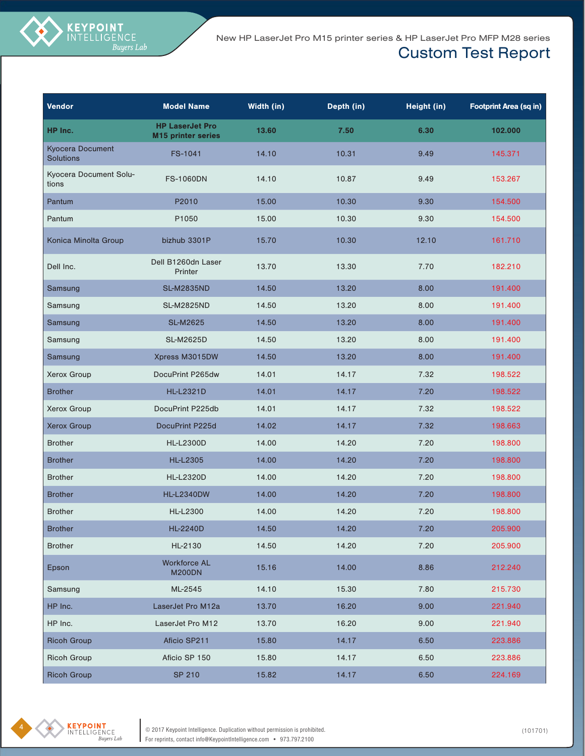

| Vendor                                      | <b>Model Name</b>                                   | Width (in) | Depth (in) | Height (in) | <b>Footprint Area (sq in)</b> |
|---------------------------------------------|-----------------------------------------------------|------------|------------|-------------|-------------------------------|
| HP Inc.                                     | <b>HP LaserJet Pro</b><br><b>M15 printer series</b> | 13.60      | 7.50       | 6.30        | 102.000                       |
| <b>Kyocera Document</b><br><b>Solutions</b> | FS-1041                                             | 14.10      | 10.31      | 9.49        | 145.371                       |
| Kyocera Document Solu-<br>tions             | <b>FS-1060DN</b>                                    | 14.10      | 10.87      | 9.49        | 153.267                       |
| Pantum                                      | P2010                                               | 15.00      | 10.30      | 9.30        | 154.500                       |
| Pantum                                      | P1050                                               | 15.00      | 10.30      | 9.30        | 154.500                       |
| Konica Minolta Group                        | bizhub 3301P                                        | 15.70      | 10.30      | 12.10       | 161.710                       |
| Dell Inc.                                   | Dell B1260dn Laser<br>Printer                       | 13.70      | 13.30      | 7.70        | 182.210                       |
| Samsung                                     | <b>SL-M2835ND</b>                                   | 14.50      | 13.20      | 8.00        | 191.400                       |
| Samsung                                     | <b>SL-M2825ND</b>                                   | 14.50      | 13.20      | 8.00        | 191.400                       |
| Samsung                                     | <b>SL-M2625</b>                                     | 14.50      | 13.20      | 8.00        | 191.400                       |
| Samsung                                     | <b>SL-M2625D</b>                                    | 14.50      | 13.20      | 8.00        | 191.400                       |
| Samsung                                     | Xpress M3015DW                                      | 14.50      | 13.20      | 8.00        | 191.400                       |
| Xerox Group                                 | DocuPrint P265dw                                    | 14.01      | 14.17      | 7.32        | 198.522                       |
| <b>Brother</b>                              | <b>HL-L2321D</b>                                    | 14.01      | 14.17      | 7.20        | 198.522                       |
| Xerox Group                                 | DocuPrint P225db                                    | 14.01      | 14.17      | 7.32        | 198.522                       |
| <b>Xerox Group</b>                          | DocuPrint P225d                                     | 14.02      | 14.17      | 7.32        | 198.663                       |
| <b>Brother</b>                              | <b>HL-L2300D</b>                                    | 14.00      | 14.20      | 7.20        | 198.800                       |
| <b>Brother</b>                              | <b>HL-L2305</b>                                     | 14.00      | 14.20      | 7.20        | 198.800                       |
| <b>Brother</b>                              | <b>HL-L2320D</b>                                    | 14.00      | 14.20      | 7.20        | 198.800                       |
| <b>Brother</b>                              | <b>HL-L2340DW</b>                                   | 14.00      | 14.20      | 7.20        | 198.800                       |
| <b>Brother</b>                              | <b>HL-L2300</b>                                     | 14.00      | 14.20      | 7.20        | 198.800                       |
| <b>Brother</b>                              | <b>HL-2240D</b>                                     | 14.50      | 14.20      | 7.20        | 205.900                       |
| <b>Brother</b>                              | HL-2130                                             | 14.50      | 14.20      | 7.20        | 205.900                       |
| Epson                                       | <b>Workforce AL</b><br><b>M200DN</b>                | 15.16      | 14.00      | 8.86        | 212.240                       |
| Samsung                                     | ML-2545                                             | 14.10      | 15.30      | 7.80        | 215.730                       |
| HP Inc.                                     | LaserJet Pro M12a                                   | 13.70      | 16.20      | 9.00        | 221.940                       |
| HP Inc.                                     | LaserJet Pro M12                                    | 13.70      | 16.20      | 9.00        | 221.940                       |
| <b>Ricoh Group</b>                          | Aficio SP211                                        | 15.80      | 14.17      | 6.50        | 223.886                       |
| <b>Ricoh Group</b>                          | Aficio SP 150                                       | 15.80      | 14.17      | 6.50        | 223.886                       |
| <b>Ricoh Group</b>                          | <b>SP 210</b>                                       | 15.82      | 14.17      | 6.50        | 224.169                       |

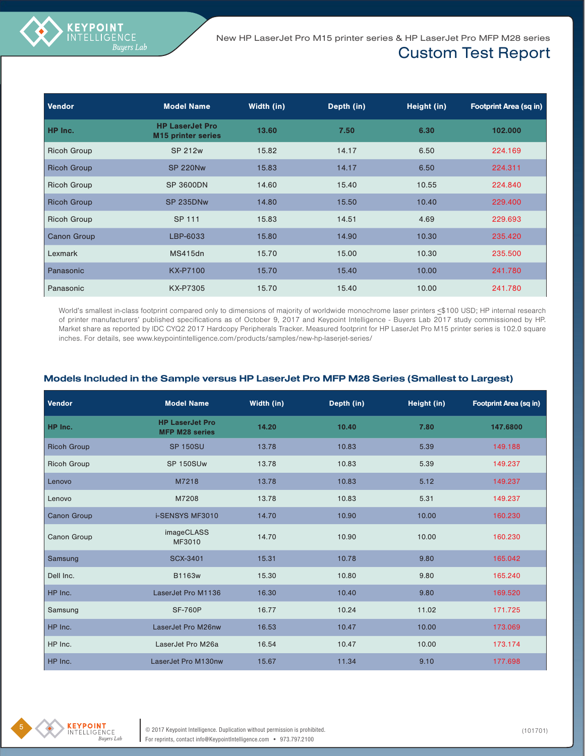| Vendor             | <b>Model Name</b>                                   | Width (in) | Depth (in) | Height (in) | <b>Footprint Area (sq in)</b> |
|--------------------|-----------------------------------------------------|------------|------------|-------------|-------------------------------|
| HP Inc.            | <b>HP LaserJet Pro</b><br><b>M15 printer series</b> | 13.60      | 7.50       | 6.30        | 102.000                       |
| <b>Ricoh Group</b> | SP 212w                                             | 15.82      | 14.17      | 6.50        | 224.169                       |
| <b>Ricoh Group</b> | <b>SP 220Nw</b>                                     | 15.83      | 14.17      | 6.50        | 224.311                       |
| <b>Ricoh Group</b> | <b>SP 3600DN</b>                                    | 14.60      | 15.40      | 10.55       | 224.840                       |
| <b>Ricoh Group</b> | <b>SP 235DNw</b>                                    | 14.80      | 15.50      | 10.40       | 229,400                       |
| <b>Ricoh Group</b> | SP 111                                              | 15.83      | 14.51      | 4.69        | 229.693                       |
| <b>Canon Group</b> | LBP-6033                                            | 15.80      | 14.90      | 10.30       | 235.420                       |
| Lexmark            | <b>MS415dn</b>                                      | 15.70      | 15.00      | 10.30       | 235,500                       |
| Panasonic          | <b>KX-P7100</b>                                     | 15.70      | 15.40      | 10.00       | 241.780                       |
| Panasonic          | KX-P7305                                            | 15.70      | 15.40      | 10.00       | 241.780                       |

World's smallest in-class footprint compared only to dimensions of majority of worldwide monochrome laser printers <\$100 USD; HP internal research of printer manufacturers' published specifications as of October 9, 2017 and Keypoint Intelligence - Buyers Lab 2017 study commissioned by HP. Market share as reported by IDC CYQ2 2017 Hardcopy Peripherals Tracker. Measured footprint for HP LaserJet Pro M15 printer series is 102.0 square inches. For details, see www.keypointintelligence.com/products/samples/new-hp-laserjet-series/

| Models Included in the Sample versus HP LaserJet Pro MFP M28 Series (Smallest to Largest) |  |  |
|-------------------------------------------------------------------------------------------|--|--|
|-------------------------------------------------------------------------------------------|--|--|

| <b>Vendor</b>      | <b>Model Name</b>                               | Width (in) | Depth (in) | Height (in) | <b>Footprint Area (sq in)</b> |
|--------------------|-------------------------------------------------|------------|------------|-------------|-------------------------------|
| HP Inc.            | <b>HP LaserJet Pro</b><br><b>MFP M28 series</b> | 14.20      | 10.40      | 7.80        | 147.6800                      |
| <b>Ricoh Group</b> | <b>SP 150SU</b>                                 | 13.78      | 10.83      | 5.39        | 149.188                       |
| <b>Ricoh Group</b> | SP 150SUw                                       | 13.78      | 10.83      | 5.39        | 149.237                       |
| Lenovo             | M7218                                           | 13.78      | 10.83      | 5.12        | 149.237                       |
| Lenovo             | M7208                                           | 13.78      | 10.83      | 5.31        | 149.237                       |
| <b>Canon Group</b> | <b>i-SENSYS MF3010</b>                          | 14.70      | 10.90      | 10.00       | 160.230                       |
| Canon Group        | imageCLASS<br>MF3010                            | 14.70      | 10.90      | 10.00       | 160.230                       |
| Samsung            | <b>SCX-3401</b>                                 | 15.31      | 10.78      | 9.80        | 165.042                       |
| Dell Inc.          | B1163w                                          | 15.30      | 10.80      | 9.80        | 165.240                       |
| HP Inc.            | LaserJet Pro M1136                              | 16.30      | 10.40      | 9.80        | 169.520                       |
| Samsung            | <b>SF-760P</b>                                  | 16.77      | 10.24      | 11.02       | 171.725                       |
| HP Inc.            | LaserJet Pro M26nw                              | 16.53      | 10.47      | 10.00       | 173.069                       |
| HP Inc.            | LaserJet Pro M26a                               | 16.54      | 10.47      | 10.00       | 173.174                       |
| HP Inc.            | LaserJet Pro M130nw                             | 15.67      | 11.34      | 9.10        | 177.698                       |



**KEYPOINT**<br>INTELLIGENCE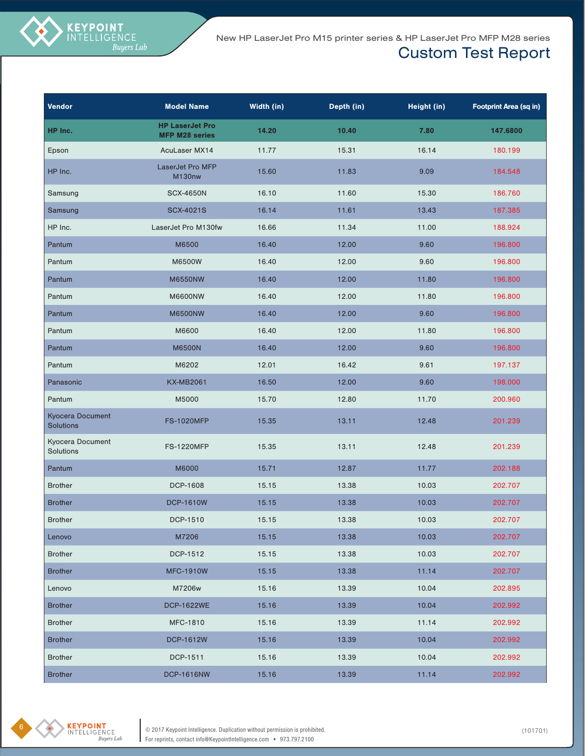New HP LaserJet Pro M15 printer series & HP LaserJet Pro MFP M28 series

### Custom Test Report

| Vendor                               | <b>Model Name</b>                               | Width (in) | Depth (in) | Height (in) | <b>Footprint Area (sq in)</b> |
|--------------------------------------|-------------------------------------------------|------------|------------|-------------|-------------------------------|
| HP Inc.                              | <b>HP LaserJet Pro</b><br><b>MFP M28 series</b> | 14.20      | 10.40      | 7.80        | 147.6800                      |
| Epson                                | AcuLaser MX14                                   | 11.77      | 15.31      | 16.14       | 180.199                       |
| HP Inc.                              | LaserJet Pro MFP<br>M130nw                      | 15.60      | 11.83      | 9.09        | 184.548                       |
| Samsung                              | <b>SCX-4650N</b>                                | 16.10      | 11.60      | 15.30       | 186.760                       |
| Samsung                              | <b>SCX-4021S</b>                                | 16.14      | 11.61      | 13.43       | 187.385                       |
| HP Inc.                              | LaserJet Pro M130fw                             | 16.66      | 11.34      | 11.00       | 188.924                       |
| Pantum                               | M6500                                           | 16.40      | 12.00      | 9.60        | 196.800                       |
| Pantum                               | M6500W                                          | 16.40      | 12.00      | 9.60        | 196.800                       |
| Pantum                               | <b>M6550NW</b>                                  | 16.40      | 12.00      | 11.80       | 196.800                       |
| Pantum                               | <b>M6600NW</b>                                  | 16.40      | 12.00      | 11.80       | 196.800                       |
| Pantum                               | <b>M6500NW</b>                                  | 16.40      | 12.00      | 9.60        | 196.800                       |
| Pantum                               | M6600                                           | 16.40      | 12.00      | 11.80       | 196.800                       |
| Pantum                               | <b>M6500N</b>                                   | 16.40      | 12.00      | 9.60        | 196.800                       |
| Pantum                               | M6202                                           | 12.01      | 16.42      | 9.61        | 197.137                       |
| Panasonic                            | <b>KX-MB2061</b>                                | 16.50      | 12.00      | 9.60        | 198.000                       |
| Pantum                               | M5000                                           | 15.70      | 12.80      | 11.70       | 200.960                       |
| Kyocera Document<br><b>Solutions</b> | <b>FS-1020MFP</b>                               | 15.35      | 13.11      | 12.48       | 201.239                       |
| Kyocera Document<br>Solutions        | <b>FS-1220MFP</b>                               | 15.35      | 13.11      | 12.48       | 201.239                       |
| Pantum                               | M6000                                           | 15.71      | 12.87      | 11.77       | 202.188                       |
| <b>Brother</b>                       | DCP-1608                                        | 15.15      | 13.38      | 10.03       | 202.707                       |
| <b>Brother</b>                       | <b>DCP-1610W</b>                                | 15.15      | 13.38      | 10.03       | 202.707                       |
| <b>Brother</b>                       | DCP-1510                                        | 15.15      | 13.38      | 10.03       | 202.707                       |
| Lenovo                               | M7206                                           | 15.15      | 13.38      | 10.03       | 202.707                       |
| <b>Brother</b>                       | DCP-1512                                        | 15.15      | 13.38      | 10.03       | 202.707                       |
| <b>Brother</b>                       | <b>MFC-1910W</b>                                | 15.15      | 13.38      | 11.14       | 202.707                       |
| Lenovo                               | M7206w                                          | 15.16      | 13.39      | 10.04       | 202.895                       |
| <b>Brother</b>                       | <b>DCP-1622WE</b>                               | 15.16      | 13.39      | 10.04       | 202.992                       |
| <b>Brother</b>                       | MFC-1810                                        | 15.16      | 13.39      | 11.14       | 202.992                       |
| <b>Brother</b>                       | <b>DCP-1612W</b>                                | 15.16      | 13.39      | 10.04       | 202.992                       |
| <b>Brother</b>                       | DCP-1511                                        | 15.16      | 13.39      | 10.04       | 202.992                       |
| <b>Brother</b>                       | <b>DCP-1616NW</b>                               | 15.16      | 13.39      | 11.14       | 202.992                       |

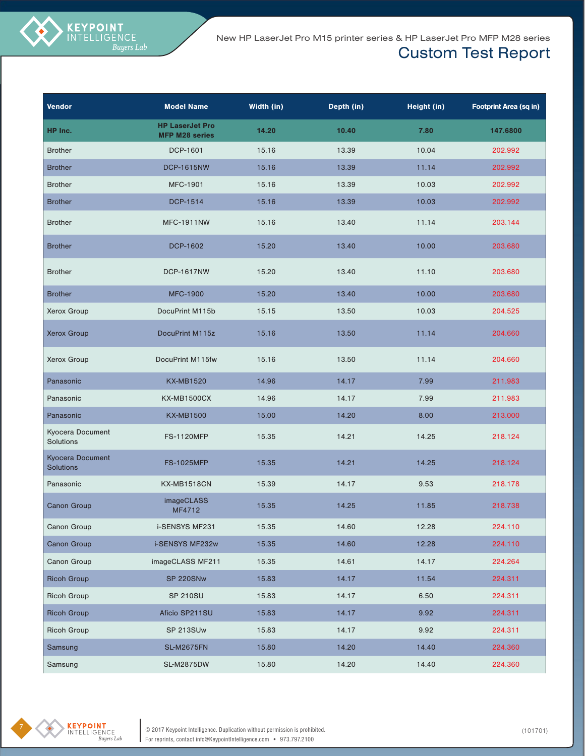| <b>Vendor</b>                               | <b>Model Name</b>                               | Width (in) | Depth (in) | Height (in) | <b>Footprint Area (sq in)</b> |
|---------------------------------------------|-------------------------------------------------|------------|------------|-------------|-------------------------------|
| HP Inc.                                     | <b>HP LaserJet Pro</b><br><b>MFP M28 series</b> | 14.20      | 10.40      | 7.80        | 147.6800                      |
| <b>Brother</b>                              | DCP-1601                                        | 15.16      | 13.39      | 10.04       | 202.992                       |
| <b>Brother</b>                              | <b>DCP-1615NW</b>                               | 15.16      | 13.39      | 11.14       | 202.992                       |
| <b>Brother</b>                              | <b>MFC-1901</b>                                 | 15.16      | 13.39      | 10.03       | 202.992                       |
| <b>Brother</b>                              | DCP-1514                                        | 15.16      | 13.39      | 10.03       | 202.992                       |
| <b>Brother</b>                              | <b>MFC-1911NW</b>                               | 15.16      | 13.40      | 11.14       | 203.144                       |
| <b>Brother</b>                              | DCP-1602                                        | 15.20      | 13.40      | 10.00       | 203.680                       |
| <b>Brother</b>                              | <b>DCP-1617NW</b>                               | 15.20      | 13.40      | 11.10       | 203.680                       |
| <b>Brother</b>                              | <b>MFC-1900</b>                                 | 15.20      | 13.40      | 10.00       | 203.680                       |
| Xerox Group                                 | DocuPrint M115b                                 | 15.15      | 13.50      | 10.03       | 204.525                       |
| <b>Xerox Group</b>                          | DocuPrint M115z                                 | 15.16      | 13.50      | 11.14       | 204.660                       |
| Xerox Group                                 | DocuPrint M115fw                                | 15.16      | 13.50      | 11.14       | 204.660                       |
| Panasonic                                   | <b>KX-MB1520</b>                                | 14.96      | 14.17      | 7.99        | 211.983                       |
| Panasonic                                   | <b>KX-MB1500CX</b>                              | 14.96      | 14.17      | 7.99        | 211.983                       |
| Panasonic                                   | <b>KX-MB1500</b>                                | 15.00      | 14.20      | 8.00        | 213.000                       |
| Kyocera Document<br>Solutions               | <b>FS-1120MFP</b>                               | 15.35      | 14.21      | 14.25       | 218.124                       |
| <b>Kyocera Document</b><br><b>Solutions</b> | <b>FS-1025MFP</b>                               | 15.35      | 14.21      | 14.25       | 218.124                       |
| Panasonic                                   | KX-MB1518CN                                     | 15.39      | 14.17      | 9.53        | 218.178                       |
| <b>Canon Group</b>                          | imageCLASS<br>MF4712                            | 15.35      | 14.25      | 11.85       | 218.738                       |
| Canon Group                                 | i-SENSYS MF231                                  | 15.35      | 14.60      | 12.28       | 224.110                       |
| <b>Canon Group</b>                          | i-SENSYS MF232w                                 | 15.35      | 14.60      | 12.28       | 224.110                       |
| Canon Group                                 | imageCLASS MF211                                | 15.35      | 14.61      | 14.17       | 224.264                       |
| <b>Ricoh Group</b>                          | SP 220SNw                                       | 15.83      | 14.17      | 11.54       | 224.311                       |
| <b>Ricoh Group</b>                          | <b>SP 210SU</b>                                 | 15.83      | 14.17      | 6.50        | 224.311                       |
| <b>Ricoh Group</b>                          | Aficio SP211SU                                  | 15.83      | 14.17      | 9.92        | 224.311                       |
| Ricoh Group                                 | SP 213SUw                                       | 15.83      | 14.17      | 9.92        | 224.311                       |
| Samsung                                     | <b>SL-M2675FN</b>                               | 15.80      | 14.20      | 14.40       | 224.360                       |
| Samsung                                     | <b>SL-M2875DW</b>                               | 15.80      | 14.20      | 14.40       | 224.360                       |

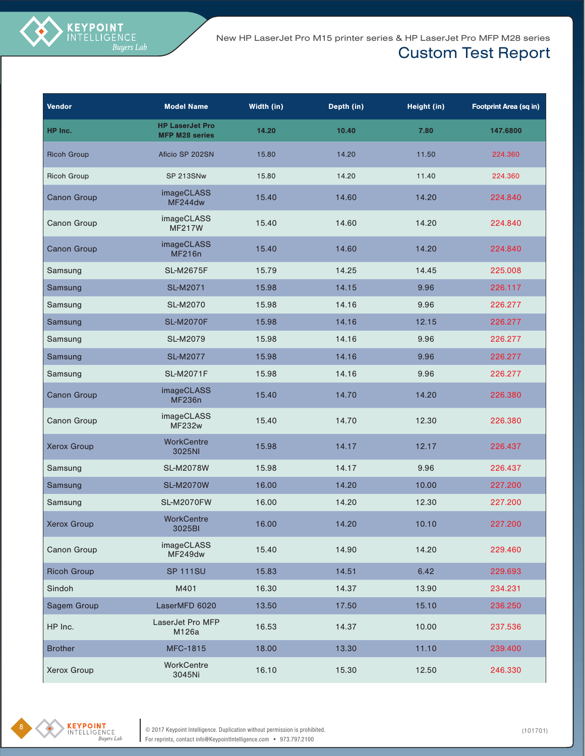| <b>Vendor</b>      | <b>Model Name</b>                               | Width (in) | Depth (in) | Height (in) | <b>Footprint Area (sq in)</b> |
|--------------------|-------------------------------------------------|------------|------------|-------------|-------------------------------|
| HP Inc.            | <b>HP LaserJet Pro</b><br><b>MFP M28 series</b> | 14.20      | 10.40      | 7.80        | 147.6800                      |
| <b>Ricoh Group</b> | Aficio SP 202SN                                 | 15.80      | 14.20      | 11.50       | 224.360                       |
| <b>Ricoh Group</b> | SP 213SNw                                       | 15.80      | 14.20      | 11.40       | 224.360                       |
| <b>Canon Group</b> | imageCLASS<br>MF244dw                           | 15.40      | 14.60      | 14.20       | 224.840                       |
| Canon Group        | imageCLASS<br><b>MF217W</b>                     | 15.40      | 14.60      | 14.20       | 224.840                       |
| Canon Group        | imageCLASS<br><b>MF216n</b>                     | 15.40      | 14.60      | 14.20       | 224.840                       |
| Samsung            | <b>SL-M2675F</b>                                | 15.79      | 14.25      | 14.45       | 225.008                       |
| Samsung            | <b>SL-M2071</b>                                 | 15.98      | 14.15      | 9.96        | 226.117                       |
| Samsung            | <b>SL-M2070</b>                                 | 15.98      | 14.16      | 9.96        | 226.277                       |
| Samsung            | <b>SL-M2070F</b>                                | 15.98      | 14.16      | 12.15       | 226.277                       |
| Samsung            | <b>SL-M2079</b>                                 | 15.98      | 14.16      | 9.96        | 226.277                       |
| Samsung            | <b>SL-M2077</b>                                 | 15.98      | 14.16      | 9.96        | 226.277                       |
| Samsung            | <b>SL-M2071F</b>                                | 15.98      | 14.16      | 9.96        | 226.277                       |
| <b>Canon Group</b> | imageCLASS<br><b>MF236n</b>                     | 15.40      | 14.70      | 14.20       | 226.380                       |
| Canon Group        | imageCLASS<br><b>MF232w</b>                     | 15.40      | 14.70      | 12.30       | 226.380                       |
| <b>Xerox Group</b> | <b>WorkCentre</b><br>3025NI                     | 15.98      | 14.17      | 12.17       | 226.437                       |
| Samsung            | <b>SL-M2078W</b>                                | 15.98      | 14.17      | 9.96        | 226.437                       |
| Samsung            | <b>SL-M2070W</b>                                | 16.00      | 14.20      | 10.00       | 227.200                       |
| Samsung            | <b>SL-M2070FW</b>                               | 16.00      | 14.20      | 12.30       | 227.200                       |
| <b>Xerox Group</b> | <b>WorkCentre</b><br>3025BI                     | 16.00      | 14.20      | 10.10       | 227.200                       |
| Canon Group        | imageCLASS<br>MF249dw                           | 15.40      | 14.90      | 14.20       | 229.460                       |
| <b>Ricoh Group</b> | <b>SP 111SU</b>                                 | 15.83      | 14.51      | 6.42        | 229.693                       |
| Sindoh             | M401                                            | 16.30      | 14.37      | 13.90       | 234.231                       |
| Sagem Group        | LaserMFD 6020                                   | 13.50      | 17.50      | 15.10       | 236.250                       |
| HP Inc.            | LaserJet Pro MFP<br>M126a                       | 16.53      | 14.37      | 10.00       | 237.536                       |
| <b>Brother</b>     | <b>MFC-1815</b>                                 | 18.00      | 13.30      | 11.10       | 239.400                       |
| Xerox Group        | WorkCentre<br>3045Ni                            | 16.10      | 15.30      | 12.50       | 246.330                       |

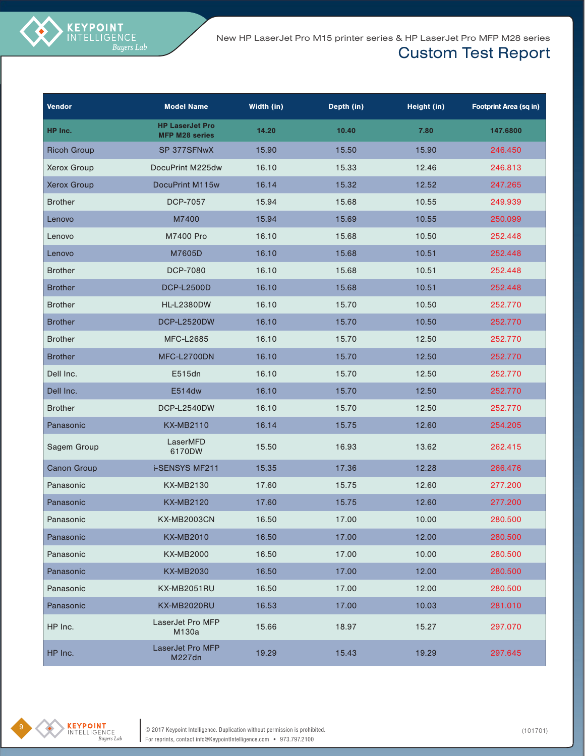| <b>Vendor</b>      | <b>Model Name</b>                               | Width (in) | Depth (in) | Height (in) | <b>Footprint Area (sq in)</b> |
|--------------------|-------------------------------------------------|------------|------------|-------------|-------------------------------|
| HP Inc.            | <b>HP LaserJet Pro</b><br><b>MFP M28 series</b> | 14.20      | 10.40      | 7.80        | 147.6800                      |
| <b>Ricoh Group</b> | SP 377SFNwX                                     | 15.90      | 15.50      | 15.90       | 246.450                       |
| Xerox Group        | DocuPrint M225dw                                | 16.10      | 15.33      | 12.46       | 246.813                       |
| <b>Xerox Group</b> | DocuPrint M115w                                 | 16.14      | 15.32      | 12.52       | 247.265                       |
| <b>Brother</b>     | <b>DCP-7057</b>                                 | 15.94      | 15.68      | 10.55       | 249.939                       |
| Lenovo             | M7400                                           | 15.94      | 15.69      | 10.55       | 250.099                       |
| Lenovo             | M7400 Pro                                       | 16.10      | 15.68      | 10.50       | 252.448                       |
| Lenovo             | M7605D                                          | 16.10      | 15.68      | 10.51       | 252.448                       |
| <b>Brother</b>     | <b>DCP-7080</b>                                 | 16.10      | 15.68      | 10.51       | 252.448                       |
| <b>Brother</b>     | <b>DCP-L2500D</b>                               | 16.10      | 15.68      | 10.51       | 252.448                       |
| <b>Brother</b>     | <b>HL-L2380DW</b>                               | 16.10      | 15.70      | 10.50       | 252.770                       |
| <b>Brother</b>     | DCP-L2520DW                                     | 16.10      | 15.70      | 10.50       | 252.770                       |
| <b>Brother</b>     | <b>MFC-L2685</b>                                | 16.10      | 15.70      | 12.50       | 252.770                       |
| <b>Brother</b>     | MFC-L2700DN                                     | 16.10      | 15.70      | 12.50       | 252.770                       |
| Dell Inc.          | E515dn                                          | 16.10      | 15.70      | 12.50       | 252.770                       |
| Dell Inc.          | E514dw                                          | 16.10      | 15.70      | 12.50       | 252.770                       |
| <b>Brother</b>     | DCP-L2540DW                                     | 16.10      | 15.70      | 12.50       | 252.770                       |
| Panasonic          | <b>KX-MB2110</b>                                | 16.14      | 15.75      | 12.60       | 254.205                       |
| Sagem Group        | LaserMFD<br>6170DW                              | 15.50      | 16.93      | 13.62       | 262.415                       |
| <b>Canon Group</b> | <b>i-SENSYS MF211</b>                           | 15.35      | 17.36      | 12.28       | 266.476                       |
| Panasonic          | <b>KX-MB2130</b>                                | 17.60      | 15.75      | 12.60       | 277.200                       |
| Panasonic          | <b>KX-MB2120</b>                                | 17.60      | 15.75      | 12.60       | 277.200                       |
| Panasonic          | <b>KX-MB2003CN</b>                              | 16.50      | 17.00      | 10.00       | 280.500                       |
| Panasonic          | <b>KX-MB2010</b>                                | 16.50      | 17.00      | 12.00       | 280.500                       |
| Panasonic          | <b>KX-MB2000</b>                                | 16.50      | 17.00      | 10.00       | 280.500                       |
| Panasonic          | <b>KX-MB2030</b>                                | 16.50      | 17.00      | 12.00       | 280.500                       |
| Panasonic          | KX-MB2051RU                                     | 16.50      | 17.00      | 12.00       | 280.500                       |
| Panasonic          | KX-MB2020RU                                     | 16.53      | 17.00      | 10.03       | 281.010                       |
| HP Inc.            | LaserJet Pro MFP<br>M130a                       | 15.66      | 18.97      | 15.27       | 297.070                       |
| HP Inc.            | LaserJet Pro MFP<br>M227dn                      | 19.29      | 15.43      | 19.29       | 297.645                       |